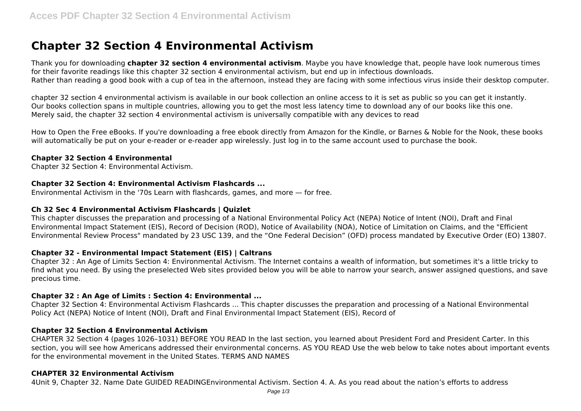# **Chapter 32 Section 4 Environmental Activism**

Thank you for downloading **chapter 32 section 4 environmental activism**. Maybe you have knowledge that, people have look numerous times for their favorite readings like this chapter 32 section 4 environmental activism, but end up in infectious downloads. Rather than reading a good book with a cup of tea in the afternoon, instead they are facing with some infectious virus inside their desktop computer.

chapter 32 section 4 environmental activism is available in our book collection an online access to it is set as public so you can get it instantly. Our books collection spans in multiple countries, allowing you to get the most less latency time to download any of our books like this one. Merely said, the chapter 32 section 4 environmental activism is universally compatible with any devices to read

How to Open the Free eBooks. If you're downloading a free ebook directly from Amazon for the Kindle, or Barnes & Noble for the Nook, these books will automatically be put on your e-reader or e-reader app wirelessly. Just log in to the same account used to purchase the book.

## **Chapter 32 Section 4 Environmental**

Chapter 32 Section 4: Environmental Activism.

## **Chapter 32 Section 4: Environmental Activism Flashcards ...**

Environmental Activism in the '70s Learn with flashcards, games, and more — for free.

## **Ch 32 Sec 4 Environmental Activism Flashcards | Quizlet**

This chapter discusses the preparation and processing of a National Environmental Policy Act (NEPA) Notice of Intent (NOI), Draft and Final Environmental Impact Statement (EIS), Record of Decision (ROD), Notice of Availability (NOA), Notice of Limitation on Claims, and the "Efficient Environmental Review Process" mandated by 23 USC 139, and the "One Federal Decision" (OFD) process mandated by Executive Order (EO) 13807.

# **Chapter 32 - Environmental Impact Statement (EIS) | Caltrans**

Chapter 32 : An Age of Limits Section 4: Environmental Activism. The Internet contains a wealth of information, but sometimes it's a little tricky to find what you need. By using the preselected Web sites provided below you will be able to narrow your search, answer assigned questions, and save precious time.

#### **Chapter 32 : An Age of Limits : Section 4: Environmental ...**

Chapter 32 Section 4: Environmental Activism Flashcards ... This chapter discusses the preparation and processing of a National Environmental Policy Act (NEPA) Notice of Intent (NOI), Draft and Final Environmental Impact Statement (EIS), Record of

#### **Chapter 32 Section 4 Environmental Activism**

CHAPTER 32 Section 4 (pages 1026–1031) BEFORE YOU READ In the last section, you learned about President Ford and President Carter. In this section, you will see how Americans addressed their environmental concerns. AS YOU READ Use the web below to take notes about important events for the environmental movement in the United States. TERMS AND NAMES

#### **CHAPTER 32 Environmental Activism**

4Unit 9, Chapter 32. Name Date GUIDED READINGEnvironmental Activism. Section 4. A. As you read about the nation's efforts to address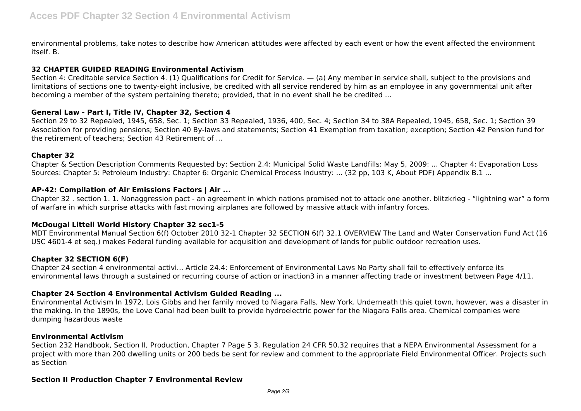environmental problems, take notes to describe how American attitudes were affected by each event or how the event affected the environment itself. B.

## **32 CHAPTER GUIDED READING Environmental Activism**

Section 4: Creditable service Section 4. (1) Qualifications for Credit for Service. — (a) Any member in service shall, subject to the provisions and limitations of sections one to twenty-eight inclusive, be credited with all service rendered by him as an employee in any governmental unit after becoming a member of the system pertaining thereto; provided, that in no event shall he be credited ...

## **General Law - Part I, Title IV, Chapter 32, Section 4**

Section 29 to 32 Repealed, 1945, 658, Sec. 1; Section 33 Repealed, 1936, 400, Sec. 4; Section 34 to 38A Repealed, 1945, 658, Sec. 1; Section 39 Association for providing pensions; Section 40 By-laws and statements; Section 41 Exemption from taxation; exception; Section 42 Pension fund for the retirement of teachers; Section 43 Retirement of ...

#### **Chapter 32**

Chapter & Section Description Comments Requested by: Section 2.4: Municipal Solid Waste Landfills: May 5, 2009: ... Chapter 4: Evaporation Loss Sources: Chapter 5: Petroleum Industry: Chapter 6: Organic Chemical Process Industry: ... (32 pp, 103 K, About PDF) Appendix B.1 ...

## **AP-42: Compilation of Air Emissions Factors | Air ...**

Chapter 32 . section 1. 1. Nonaggression pact - an agreement in which nations promised not to attack one another. blitzkrieg - "lightning war" a form of warfare in which surprise attacks with fast moving airplanes are followed by massive attack with infantry forces.

# **McDougal Littell World History Chapter 32 sec1-5**

MDT Environmental Manual Section 6(f) October 2010 32-1 Chapter 32 SECTION 6(f) 32.1 OVERVIEW The Land and Water Conservation Fund Act (16 USC 4601-4 et seq.) makes Federal funding available for acquisition and development of lands for public outdoor recreation uses.

# **Chapter 32 SECTION 6(F)**

Chapter 24 section 4 environmental activi... Article 24.4: Enforcement of Environmental Laws No Party shall fail to effectively enforce its environmental laws through a sustained or recurring course of action or inaction3 in a manner affecting trade or investment between Page 4/11.

# **Chapter 24 Section 4 Environmental Activism Guided Reading ...**

Environmental Activism In 1972, Lois Gibbs and her family moved to Niagara Falls, New York. Underneath this quiet town, however, was a disaster in the making. In the 1890s, the Love Canal had been built to provide hydroelectric power for the Niagara Falls area. Chemical companies were dumping hazardous waste

#### **Environmental Activism**

Section 232 Handbook, Section II, Production, Chapter 7 Page 5 3. Regulation 24 CFR 50.32 requires that a NEPA Environmental Assessment for a project with more than 200 dwelling units or 200 beds be sent for review and comment to the appropriate Field Environmental Officer. Projects such as Section

#### **Section II Production Chapter 7 Environmental Review**